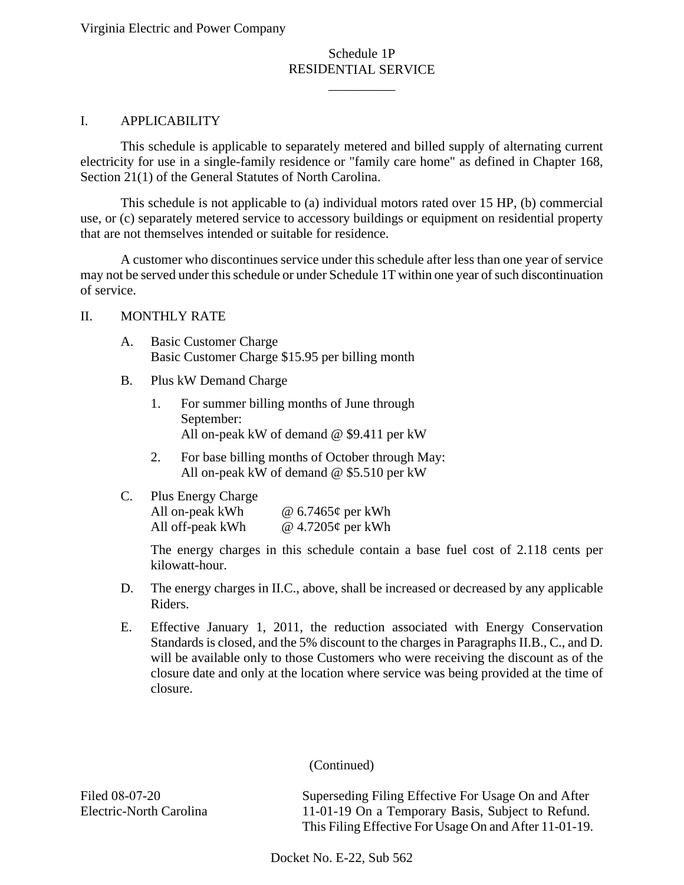# Schedule 1P RESIDENTIAL SERVICE

\_\_\_\_\_\_\_\_\_\_

#### I. APPLICABILITY

This schedule is applicable to separately metered and billed supply of alternating current electricity for use in a single-family residence or "family care home" as defined in Chapter 168, Section 21(1) of the General Statutes of North Carolina.

This schedule is not applicable to (a) individual motors rated over 15 HP, (b) commercial use, or (c) separately metered service to accessory buildings or equipment on residential property that are not themselves intended or suitable for residence.

A customer who discontinues service under this schedule after less than one year of service may not be served under this schedule or under Schedule 1T within one year of such discontinuation of service.

#### II. MONTHLY RATE

- A. Basic Customer Charge Basic Customer Charge \$15.95 per billing month
- B. Plus kW Demand Charge
	- 1. For summer billing months of June through September: All on-peak kW of demand @ \$9.411 per kW
	- 2. For base billing months of October through May: All on-peak kW of demand @ \$5.510 per kW
- C. Plus Energy Charge All on-peak kWh @ 6.7465¢ per kWh All off-peak kWh @ 4.7205¢ per kWh

The energy charges in this schedule contain a base fuel cost of 2.118 cents per kilowatt-hour.

- D. The energy charges in II.C., above, shall be increased or decreased by any applicable Riders.
- E. Effective January 1, 2011, the reduction associated with Energy Conservation Standards is closed, and the 5% discount to the charges in Paragraphs II.B., C., and D. will be available only to those Customers who were receiving the discount as of the closure date and only at the location where service was being provided at the time of closure.

(Continued)

Filed 08-07-20 Electric-North Carolina Superseding Filing Effective For Usage On and After 11-01-19 On a Temporary Basis, Subject to Refund. This Filing Effective For Usage On and After 11-01-19.

Docket No. E-22, Sub 562